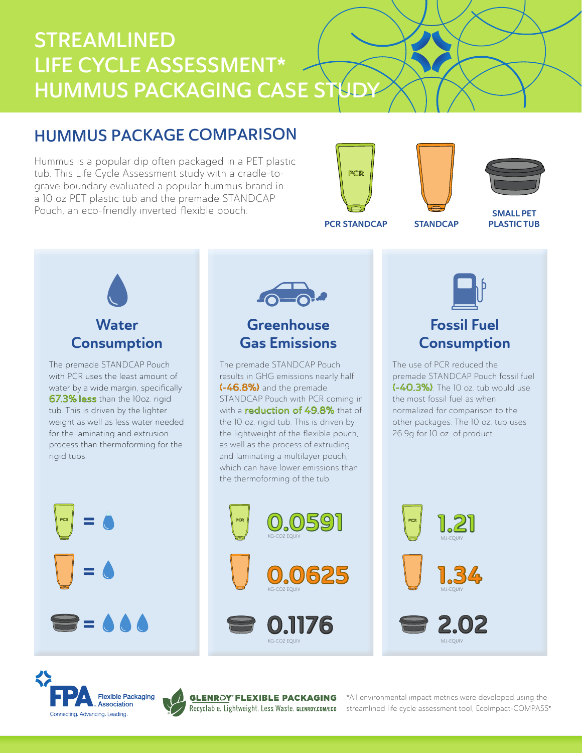# STREAMLINED LIFE CYCLE ASSESSMENT\* HUMMUS PACKAGING CASE STUD

## HUMMUS PACKAGE COMPARISON

Hummus is a popular dip often packaged in a PET plastic tub. This Life Cycle Assessment study with a cradle-tograve boundary evaluated a popular hummus brand in a 10 oz PET plastic tub and the premade STANDCAP Pouch, an eco-friendly inverted flexible pouch.







PCR STANDCAP STANDCAP

SMALL PET PLASTIC TUB



The premade STANDCAP Pouch with PCR uses the least amount of water by a wide margin, specifically 67.3% less than the 10oz. rigid tub. This is driven by the lighter weight as well as less water needed for the laminating and extrusion process than thermoforming for the rigid tubs.





## **Greenhouse** Gas Emissions

The premade STANDCAP Pouch results in GHG emissions nearly half (-46.8%) and the premade STANDCAP Pouch with PCR coming in with a **reduction of 49.8%** that of the 10 oz. rigid tub. This is driven by the lightweight of the flexible pouch, as well as the process of extruding and laminating a multilayer pouch, which can have lower emissions than the thermoforming of the tub.



KG-CO2 EQUIV



## Fossil Fuel **Consumption**

The use of PCR reduced the premade STANDCAP Pouch fossil fuel (-40.3%). The 10 oz. tub would use the most fossil fuel as when normalized for comparison to the other packages. The 10 oz. tub uses 26.9g for 10 oz. of product.







®

®

\*All environmental impact metrics were developed using the streamlined life cycle assessment tool, EcoImpact-COMPASS®